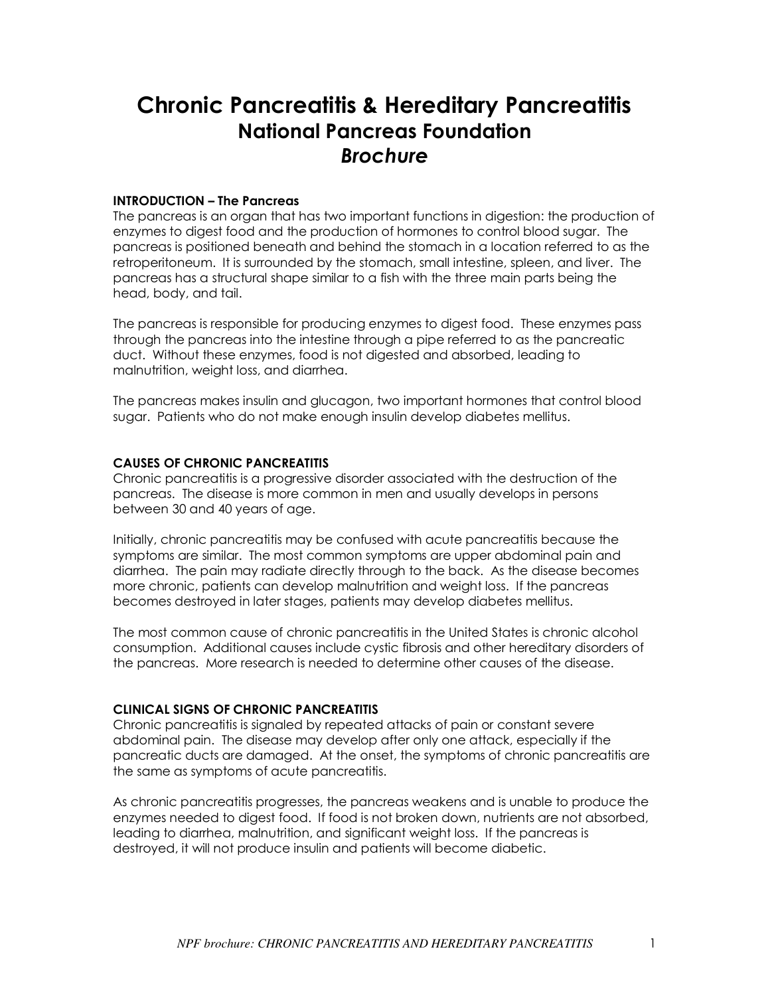# **Chronic Pancreatitis & Hereditary Pancreatitis National Pancreas Foundation**  *Brochure*

## **INTRODUCTION – The Pancreas**

The pancreas is an organ that has two important functions in digestion: the production of enzymes to digest food and the production of hormones to control blood sugar. The pancreas is positioned beneath and behind the stomach in a location referred to as the retroperitoneum. It is surrounded by the stomach, small intestine, spleen, and liver. The pancreas has a structural shape similar to a fish with the three main parts being the head, body, and tail.

The pancreas is responsible for producing enzymes to digest food. These enzymes pass through the pancreas into the intestine through a pipe referred to as the pancreatic duct. Without these enzymes, food is not digested and absorbed, leading to malnutrition, weight loss, and diarrhea.

The pancreas makes insulin and glucagon, two important hormones that control blood sugar. Patients who do not make enough insulin develop diabetes mellitus.

## **CAUSES OF CHRONIC PANCREATITIS**

Chronic pancreatitis is a progressive disorder associated with the destruction of the pancreas. The disease is more common in men and usually develops in persons between 30 and 40 years of age.

Initially, chronic pancreatitis may be confused with acute pancreatitis because the symptoms are similar. The most common symptoms are upper abdominal pain and diarrhea. The pain may radiate directly through to the back. As the disease becomes more chronic, patients can develop malnutrition and weight loss. If the pancreas becomes destroyed in later stages, patients may develop diabetes mellitus.

The most common cause of chronic pancreatitis in the United States is chronic alcohol consumption. Additional causes include cystic fibrosis and other hereditary disorders of the pancreas. More research is needed to determine other causes of the disease.

#### **CLINICAL SIGNS OF CHRONIC PANCREATITIS**

Chronic pancreatitis is signaled by repeated attacks of pain or constant severe abdominal pain. The disease may develop after only one attack, especially if the pancreatic ducts are damaged. At the onset, the symptoms of chronic pancreatitis are the same as symptoms of acute pancreatitis.

As chronic pancreatitis progresses, the pancreas weakens and is unable to produce the enzymes needed to digest food. If food is not broken down, nutrients are not absorbed, leading to diarrhea, malnutrition, and significant weight loss. If the pancreas is destroyed, it will not produce insulin and patients will become diabetic.